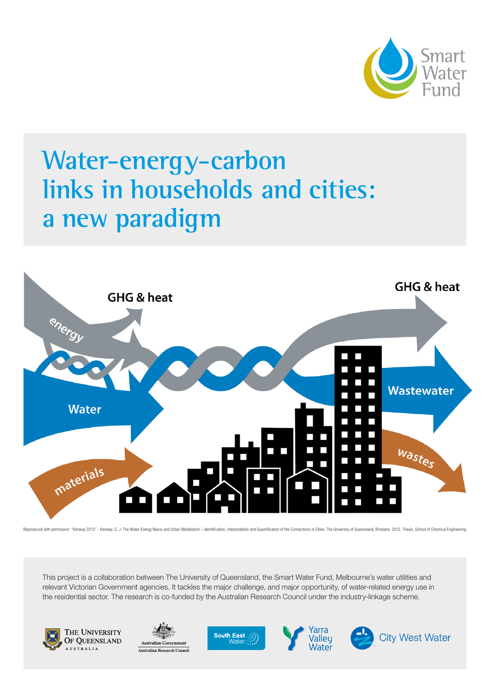

### **Water-energy-carbon links in households and cities: a new paradigm**



Reproduced with permission: "Kenway 2012" - Kenway, S. J. The Water-Freroy Nexus and Urban Metabolism - Identification, Interpretation and Quantification of the Connections in Cities. The University of Queensland, Brishane

This project is a collaboration between The University of Queensland, the Smart Water Fund, Melbourne's water utilities and relevant Victorian Government agencies. It tackles the major challenge, and major opportunity, of water-related energy use in the residential sector. The research is co-funded by the Australian Research Council under the industry-linkage scheme.









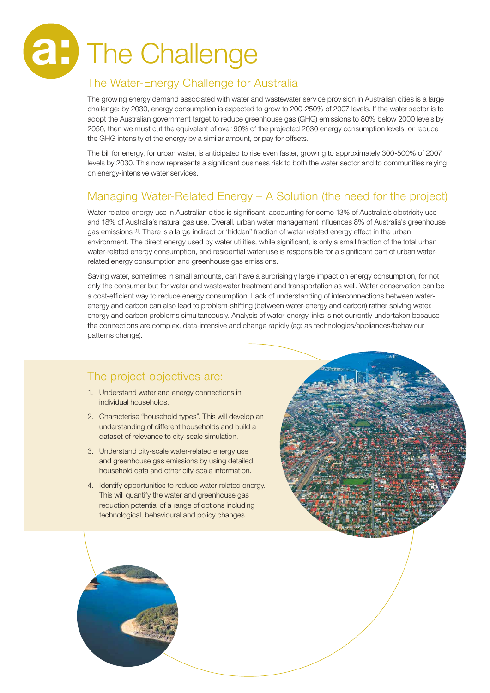# The Challenge **a:**

#### The Water-Energy Challenge for Australia

The growing energy demand associated with water and wastewater service provision in Australian cities is a large challenge: by 2030, energy consumption is expected to grow to 200-250% of 2007 levels. If the water sector is to adopt the Australian government target to reduce greenhouse gas (GHG) emissions to 80% below 2000 levels by 2050, then we must cut the equivalent of over 90% of the projected 2030 energy consumption levels, or reduce the GHG intensity of the energy by a similar amount, or pay for offsets.

The bill for energy, for urban water, is anticipated to rise even faster, growing to approximately 300-500% of 2007 levels by 2030. This now represents a significant business risk to both the water sector and to communities relying on energy-intensive water services.

#### Managing Water-Related Energy – A Solution (the need for the project)

Water-related energy use in Australian cities is significant, accounting for some 13% of Australia's electricity use and 18% of Australia's natural gas use. Overall, urban water management influences 8% of Australia's greenhouse gas emissions [1]. There is a large indirect or 'hidden" fraction of water-related energy effect in the urban environment. The direct energy used by water utilities, while significant, is only a small fraction of the total urban water-related energy consumption, and residential water use is responsible for a significant part of urban waterrelated energy consumption and greenhouse gas emissions.

Saving water, sometimes in small amounts, can have a surprisingly large impact on energy consumption, for not only the consumer but for water and wastewater treatment and transportation as well. Water conservation can be a cost-efficient way to reduce energy consumption. Lack of understanding of interconnections between waterenergy and carbon can also lead to problem-shifting (between water-energy and carbon) rather solving water, energy and carbon problems simultaneously. Analysis of water-energy links is not currently undertaken because the connections are complex, data-intensive and change rapidly (eg: as technologies/appliances/behaviour patterns change).

#### The project objectives are:

- 1. Understand water and energy connections in individual households.
- 2. Characterise "household types". This will develop an understanding of different households and build a dataset of relevance to city-scale simulation.
- 3. Understand city-scale water-related energy use and greenhouse gas emissions by using detailed household data and other city-scale information.
- 4. Identify opportunities to reduce water-related energy. This will quantify the water and greenhouse gas reduction potential of a range of options including technological, behavioural and policy changes.

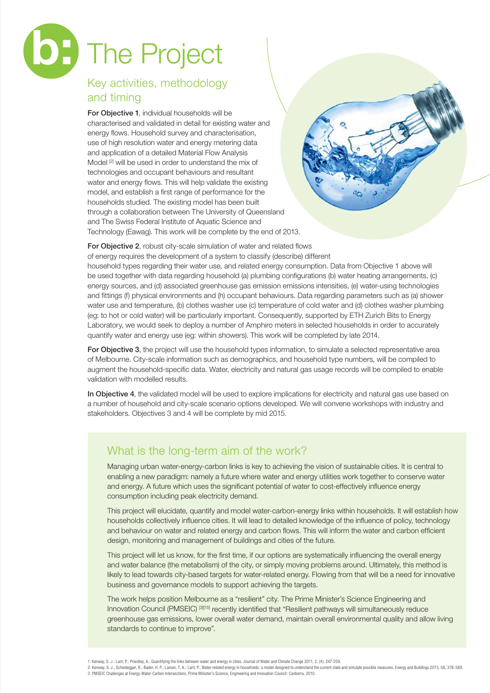## **b:** The Project

#### Key activities, methodology and timing

For Objective 1, individual households will be characterised and validated in detail for existing water and energy flows. Household survey and characterisation, use of high resolution water and energy metering data and application of a detailed Material Flow Analysis Model <sup>[2]</sup> will be used in order to understand the mix of technologies and occupant behaviours and resultant water and energy flows. This will help validate the existing model, and establish a first range of performance for the households studied. The existing model has been built through a collaboration between The University of Queensland and The Swiss Federal Institute of Aquatic Science and Technology (Eawag). This work will be complete by the end of 2013.

For Objective 2, robust city-scale simulation of water and related flows

of energy requires the development of a system to classify (describe) different

household types regarding their water use, and related energy consumption. Data from Objective 1 above will be used together with data regarding household (a) plumbing configurations (b) water heating arrangements, (c) energy sources, and (d) associated greenhouse gas emission emissions intensities, (e) water-using technologies and fittings (f) physical environments and (h) occupant behaviours. Data regarding parameters such as (a) shower water use and temperature, (b) clothes washer use (c) temperature of cold water and (d) clothes washer plumbing (eg: to hot or cold water) will be particularly important. Consequently, supported by ETH Zurich Bits to Energy Laboratory, we would seek to deploy a number of Amphiro meters in selected households in order to accurately quantify water and energy use (eg: within showers). This work will be completed by late 2014.

For Objective 3, the project will use the household types information, to simulate a selected representative area of Melbourne. City-scale information such as demographics, and household type numbers, will be compiled to augment the household-specific data. Water, electricity and natural gas usage records will be compiled to enable validation with modelled results.

In Objective 4, the validated model will be used to explore implications for electricity and natural gas use based on a number of household and city-scale scenario options developed. We will convene workshops with industry and stakeholders. Objectives 3 and 4 will be complete by mid 2015.

#### What is the long-term aim of the work?

Managing urban water-energy-carbon links is key to achieving the vision of sustainable cities. It is central to enabling a new paradigm: namely a future where water and energy utilities work together to conserve water and energy. A future which uses the significant potential of water to cost-effectively influence energy consumption including peak electricity demand.

This project will elucidate, quantify and model water-carbon-energy links within households. It will establish how households collectively influence cities. It will lead to detailed knowledge of the influence of policy, technology and behaviour on water and related energy and carbon flows. This will inform the water and carbon efficient design, monitoring and management of buildings and cities of the future.

This project will let us know, for the first time, if our options are systematically influencing the overall energy and water balance (the metabolism) of the city, or simply moving problems around. Ultimately, this method is likely to lead towards city-based targets for water-related energy. Flowing from that will be a need for innovative business and governance models to support achieving the targets.

The work helps position Melbourne as a "resilient" city. The Prime Minister's Science Engineering and Innovation Council (PMSEIC) [3][15] recently identified that "Resilient pathways will simultaneously reduce greenhouse gas emissions, lower overall water demand, maintain overall environmental quality and allow living standards to continue to improve".

<sup>1.</sup> Kenway, S. J.; Lant, P.; Priestley, A., Quantifying the links between water and energy in cities. Journal of Water and Climate Change 2011, 2, (4), 247-259.

<sup>2.</sup> Kenway, S. J.; Scheidegger, R.; Bader, H. P.; Larsen, T. A.; Lant, P., Water-related energy in households: a model designed to understand the current state and simulate possible measures. Energy and Buildings 2013, 58, 3. PMSEIC Challenges at Energy-Water-Carbon Intersections; Prime Minister's Science, Engineering and Innovation Council: Canberra, 2010.